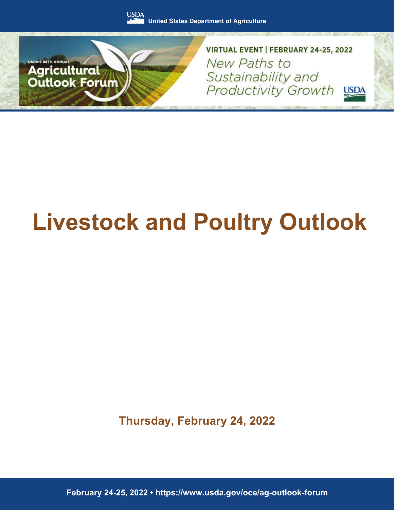



VIRTUAL EVENT | FEBRUARY 24-25, 2022 New Paths to Sustainability and Productivity Growth USDA

# **Livestock and Poultry Outlook**

**Thursday, February 24, 2022**

February 24-25, 2022 · https://www.usda.gov/oce/ag-outlook-forum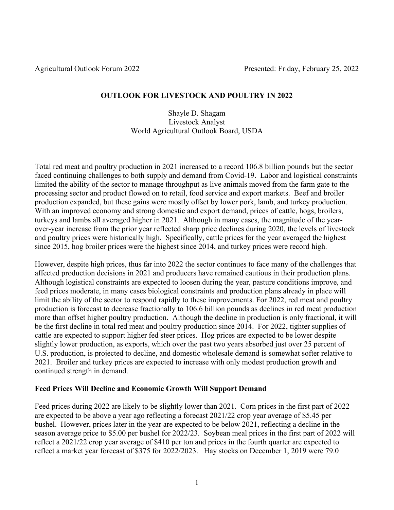## **OUTLOOK FOR LIVESTOCK AND POULTRY IN 2022**

#### Shayle D. Shagam Livestock Analyst World Agricultural Outlook Board, USDA

Total red meat and poultry production in 2021 increased to a record 106.8 billion pounds but the sector faced continuing challenges to both supply and demand from Covid-19. Labor and logistical constraints limited the ability of the sector to manage throughput as live animals moved from the farm gate to the processing sector and product flowed on to retail, food service and export markets. Beef and broiler production expanded, but these gains were mostly offset by lower pork, lamb, and turkey production. With an improved economy and strong domestic and export demand, prices of cattle, hogs, broilers, turkeys and lambs all averaged higher in 2021. Although in many cases, the magnitude of the yearover-year increase from the prior year reflected sharp price declines during 2020, the levels of livestock and poultry prices were historically high. Specifically, cattle prices for the year averaged the highest since 2015, hog broiler prices were the highest since 2014, and turkey prices were record high.

However, despite high prices, thus far into 2022 the sector continues to face many of the challenges that affected production decisions in 2021 and producers have remained cautious in their production plans. Although logistical constraints are expected to loosen during the year, pasture conditions improve, and feed prices moderate, in many cases biological constraints and production plans already in place will limit the ability of the sector to respond rapidly to these improvements. For 2022, red meat and poultry production is forecast to decrease fractionally to 106.6 billion pounds as declines in red meat production more than offset higher poultry production. Although the decline in production is only fractional, it will be the first decline in total red meat and poultry production since 2014. For 2022, tighter supplies of cattle are expected to support higher fed steer prices. Hog prices are expected to be lower despite slightly lower production, as exports, which over the past two years absorbed just over 25 percent of U.S. production, is projected to decline, and domestic wholesale demand is somewhat softer relative to 2021. Broiler and turkey prices are expected to increase with only modest production growth and continued strength in demand.

### **Feed Prices Will Decline and Economic Growth Will Support Demand**

Feed prices during 2022 are likely to be slightly lower than 2021. Corn prices in the first part of 2022 are expected to be above a year ago reflecting a forecast 2021/22 crop year average of \$5.45 per bushel. However, prices later in the year are expected to be below 2021, reflecting a decline in the season average price to \$5.00 per bushel for 2022/23. Soybean meal prices in the first part of 2022 will reflect a 2021/22 crop year average of \$410 per ton and prices in the fourth quarter are expected to reflect a market year forecast of \$375 for 2022/2023. Hay stocks on December 1, 2019 were 79.0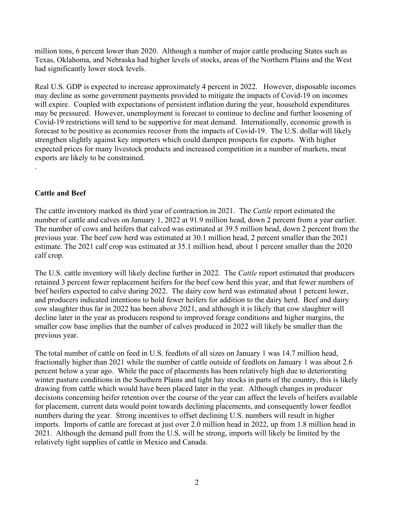million tons, 6 percent lower than 2020. Although a number of major cattle producing States such as Texas, Oklahoma, and Nebraska had higher levels of stocks, areas of the Northern Plains and the West had significantly lower stock levels.

Real U.S. GDP is expected to increase approximately 4 percent in 2022. However, disposable incomes may decline as some government payments provided to mitigate the impacts of Covid-19 on incomes will expire. Coupled with expectations of persistent inflation during the year, household expenditures may be pressured. However, unemployment is forecast to continue to decline and further loosening of Covid-19 restrictions will tend to be supportive for meat demand. Internationally, economic growth is forecast to be positive as economies recover from the impacts of Covid-19. The U.S. dollar will likely strengthen slightly against key importers which could dampen prospects for exports. With higher expected prices for many livestock products and increased competition in a number of markets, meat exports are likely to be constrained.

### **Cattle and Beef**

.

The cattle inventory marked its third year of contraction.in 2021. The *Cattle* report estimated the number of cattle and calves on January 1, 2022 at 91.9 million head, down 2 percent from a year earlier. The number of cows and heifers that calved was estimated at 39.5 million head, down 2 percent from the previous year. The beef cow herd was estimated at 30.1 million head, 2 percent smaller than the 2021 estimate. The 2021 calf crop was estimated at 35.1 million head, about 1 percent smaller than the 2020 calf crop.

The U.S. cattle inventory will likely decline further in 2022. The *Cattle* report estimated that producers retained 3 percent fewer replacement heifers for the beef cow herd this year, and that fewer numbers of beef heifers expected to calve during 2022. The dairy cow herd was estimated about 1 percent lower, and producers indicated intentions to hold fewer heifers for addition to the dairy herd. Beef and dairy cow slaughter thus far in 2022 has been above 2021, and although it is likely that cow slaughter will decline later in the year as producers respond to improved forage conditions and higher margins, the smaller cow base implies that the number of calves produced in 2022 will likely be smaller than the previous year.

The total number of cattle on feed in U.S. feedlots of all sizes on January 1 was 14.7 million head, fractionally higher than 2021 while the number of cattle outside of feedlots on January 1 was about 2.6 percent below a year ago. While the pace of placements has been relatively high due to deteriorating winter pasture conditions in the Southern Plains and tight hay stocks in parts of the country, this is likely drawing from cattle which would have been placed later in the year. Although changes in producer decisions concerning heifer retention over the course of the year can affect the levels of heifers available for placement, current data would point towards declining placements, and consequently lower feedlot numbers during the year. Strong incentives to offset declining U.S. numbers will result in higher imports. Imports of cattle are forecast at just over 2.0 million head in 2022, up from 1.8 million head in 2021. Although the demand pull from the U.S. will be strong, imports will likely be limited by the relatively tight supplies of cattle in Mexico and Canada.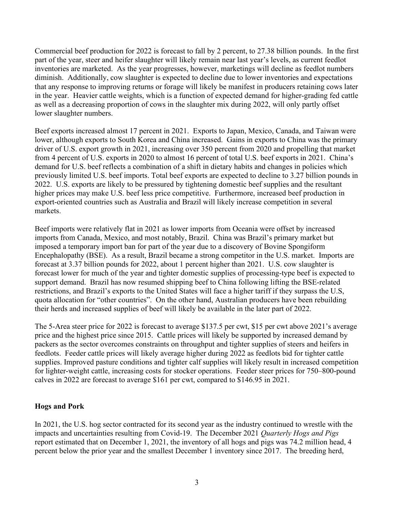Commercial beef production for 2022 is forecast to fall by 2 percent, to 27.38 billion pounds. In the first part of the year, steer and heifer slaughter will likely remain near last year's levels, as current feedlot inventories are marketed. As the year progresses, however, marketings will decline as feedlot numbers diminish. Additionally, cow slaughter is expected to decline due to lower inventories and expectations that any response to improving returns or forage will likely be manifest in producers retaining cows later in the year. Heavier cattle weights, which is a function of expected demand for higher-grading fed cattle as well as a decreasing proportion of cows in the slaughter mix during 2022, will only partly offset lower slaughter numbers.

Beef exports increased almost 17 percent in 2021. Exports to Japan, Mexico, Canada, and Taiwan were lower, although exports to South Korea and China increased. Gains in exports to China was the primary driver of U.S. export growth in 2021, increasing over 350 percent from 2020 and propelling that market from 4 percent of U.S. exports in 2020 to almost 16 percent of total U.S. beef exports in 2021. China's demand for U.S. beef reflects a combination of a shift in dietary habits and changes in policies which previously limited U.S. beef imports. Total beef exports are expected to decline to 3.27 billion pounds in 2022. U.S. exports are likely to be pressured by tightening domestic beef supplies and the resultant higher prices may make U.S. beef less price competitive. Furthermore, increased beef production in export-oriented countries such as Australia and Brazil will likely increase competition in several markets.

Beef imports were relatively flat in 2021 as lower imports from Oceania were offset by increased imports from Canada, Mexico, and most notably, Brazil. China was Brazil's primary market but imposed a temporary import ban for part of the year due to a discovery of Bovine Spongiform Encephalopathy (BSE). As a result, Brazil became a strong competitor in the U.S. market. Imports are forecast at 3.37 billion pounds for 2022, about 1 percent higher than 2021. U.S. cow slaughter is forecast lower for much of the year and tighter domestic supplies of processing-type beef is expected to support demand. Brazil has now resumed shipping beef to China following lifting the BSE-related restrictions, and Brazil's exports to the United States will face a higher tariff if they surpass the U.S, quota allocation for "other countries". On the other hand, Australian producers have been rebuilding their herds and increased supplies of beef will likely be available in the later part of 2022.

The 5-Area steer price for 2022 is forecast to average \$137.5 per cwt, \$15 per cwt above 2021's average price and the highest price since 2015. Cattle prices will likely be supported by increased demand by packers as the sector overcomes constraints on throughput and tighter supplies of steers and heifers in feedlots. Feeder cattle prices will likely average higher during 2022 as feedlots bid for tighter cattle supplies. Improved pasture conditions and tighter calf supplies will likely result in increased competition for lighter-weight cattle, increasing costs for stocker operations. Feeder steer prices for 750–800-pound calves in 2022 are forecast to average \$161 per cwt, compared to \$146.95 in 2021.

### **Hogs and Pork**

In 2021, the U.S. hog sector contracted for its second year as the industry continued to wrestle with the impacts and uncertainties resulting from Covid-19. The December 2021 *Quarterly Hogs and Pigs* report estimated that on December 1, 2021, the inventory of all hogs and pigs was 74.2 million head, 4 percent below the prior year and the smallest December 1 inventory since 2017. The breeding herd,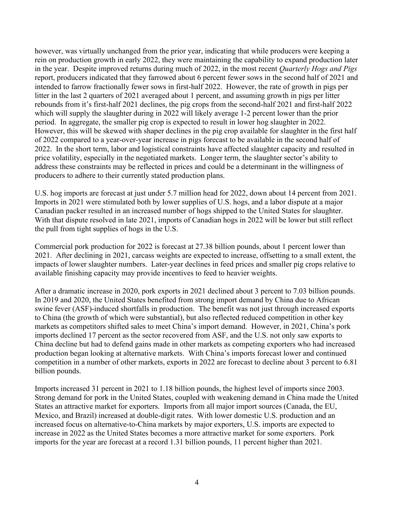however, was virtually unchanged from the prior year, indicating that while producers were keeping a rein on production growth in early 2022, they were maintaining the capability to expand production later in the year. Despite improved returns during much of 2022, in the most recent *Quarterly Hogs and Pigs* report, producers indicated that they farrowed about 6 percent fewer sows in the second half of 2021 and intended to farrow fractionally fewer sows in first-half 2022. However, the rate of growth in pigs per litter in the last 2 quarters of 2021 averaged about 1 percent, and assuming growth in pigs per litter rebounds from it's first-half 2021 declines, the pig crops from the second-half 2021 and first-half 2022 which will supply the slaughter during in 2022 will likely average 1-2 percent lower than the prior period. In aggregate, the smaller pig crop is expected to result in lower hog slaughter in 2022. However, this will be skewed with shaper declines in the pig crop available for slaughter in the first half of 2022 compared to a year-over-year increase in pigs forecast to be available in the second half of 2022. In the short term, labor and logistical constraints have affected slaughter capacity and resulted in price volatility, especially in the negotiated markets. Longer term, the slaughter sector's ability to address these constraints may be reflected in prices and could be a determinant in the willingness of producers to adhere to their currently stated production plans.

U.S. hog imports are forecast at just under 5.7 million head for 2022, down about 14 percent from 2021. Imports in 2021 were stimulated both by lower supplies of U.S. hogs, and a labor dispute at a major Canadian packer resulted in an increased number of hogs shipped to the United States for slaughter. With that dispute resolved in late 2021, imports of Canadian hogs in 2022 will be lower but still reflect the pull from tight supplies of hogs in the U.S.

Commercial pork production for 2022 is forecast at 27.38 billion pounds, about 1 percent lower than 2021. After declining in 2021, carcass weights are expected to increase, offsetting to a small extent, the impacts of lower slaughter numbers. Later-year declines in feed prices and smaller pig crops relative to available finishing capacity may provide incentives to feed to heavier weights.

After a dramatic increase in 2020, pork exports in 2021 declined about 3 percent to 7.03 billion pounds. In 2019 and 2020, the United States benefited from strong import demand by China due to African swine fever (ASF)-induced shortfalls in production. The benefit was not just through increased exports to China (the growth of which were substantial), but also reflected reduced competition in other key markets as competitors shifted sales to meet China's import demand. However, in 2021, China's pork imports declined 17 percent as the sector recovered from ASF, and the U.S. not only saw exports to China decline but had to defend gains made in other markets as competing exporters who had increased production began looking at alternative markets. With China's imports forecast lower and continued competition in a number of other markets, exports in 2022 are forecast to decline about 3 percent to 6.81 billion pounds.

Imports increased 31 percent in 2021 to 1.18 billion pounds, the highest level of imports since 2003. Strong demand for pork in the United States, coupled with weakening demand in China made the United States an attractive market for exporters. Imports from all major import sources (Canada, the EU, Mexico, and Brazil) increased at double-digit rates. With lower domestic U.S. production and an increased focus on alternative-to-China markets by major exporters, U.S. imports are expected to increase in 2022 as the United States becomes a more attractive market for some exporters. Pork imports for the year are forecast at a record 1.31 billion pounds, 11 percent higher than 2021.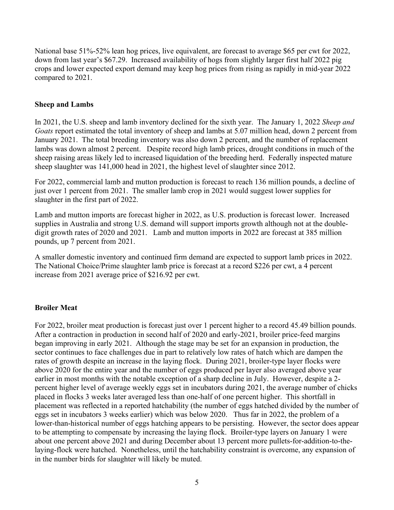National base 51%-52% lean hog prices, live equivalent, are forecast to average \$65 per cwt for 2022, down from last year's \$67.29. Increased availability of hogs from slightly larger first half 2022 pig crops and lower expected export demand may keep hog prices from rising as rapidly in mid-year 2022 compared to 2021.

#### **Sheep and Lambs**

In 2021, the U.S. sheep and lamb inventory declined for the sixth year. The January 1, 2022 *Sheep and Goats* report estimated the total inventory of sheep and lambs at 5.07 million head, down 2 percent from January 2021. The total breeding inventory was also down 2 percent, and the number of replacement lambs was down almost 2 percent. Despite record high lamb prices, drought conditions in much of the sheep raising areas likely led to increased liquidation of the breeding herd. Federally inspected mature sheep slaughter was 141,000 head in 2021, the highest level of slaughter since 2012.

For 2022, commercial lamb and mutton production is forecast to reach 136 million pounds, a decline of just over 1 percent from 2021. The smaller lamb crop in 2021 would suggest lower supplies for slaughter in the first part of 2022.

Lamb and mutton imports are forecast higher in 2022, as U.S. production is forecast lower. Increased supplies in Australia and strong U.S. demand will support imports growth although not at the doubledigit growth rates of 2020 and 2021. Lamb and mutton imports in 2022 are forecast at 385 million pounds, up 7 percent from 2021.

A smaller domestic inventory and continued firm demand are expected to support lamb prices in 2022. The National Choice/Prime slaughter lamb price is forecast at a record \$226 per cwt, a 4 percent increase from 2021 average price of \$216.92 per cwt.

### **Broiler Meat**

For 2022, broiler meat production is forecast just over 1 percent higher to a record 45.49 billion pounds. After a contraction in production in second half of 2020 and early-2021, broiler price-feed margins began improving in early 2021. Although the stage may be set for an expansion in production, the sector continues to face challenges due in part to relatively low rates of hatch which are dampen the rates of growth despite an increase in the laying flock. During 2021, broiler-type layer flocks were above 2020 for the entire year and the number of eggs produced per layer also averaged above year earlier in most months with the notable exception of a sharp decline in July. However, despite a 2 percent higher level of average weekly eggs set in incubators during 2021, the average number of chicks placed in flocks 3 weeks later averaged less than one-half of one percent higher. This shortfall in placement was reflected in a reported hatchability (the number of eggs hatched divided by the number of eggs set in incubators 3 weeks earlier) which was below 2020. Thus far in 2022, the problem of a lower-than-historical number of eggs hatching appears to be persisting. However, the sector does appear to be attempting to compensate by increasing the laying flock. Broiler-type layers on January 1 were about one percent above 2021 and during December about 13 percent more pullets-for-addition-to-thelaying-flock were hatched. Nonetheless, until the hatchability constraint is overcome, any expansion of in the number birds for slaughter will likely be muted.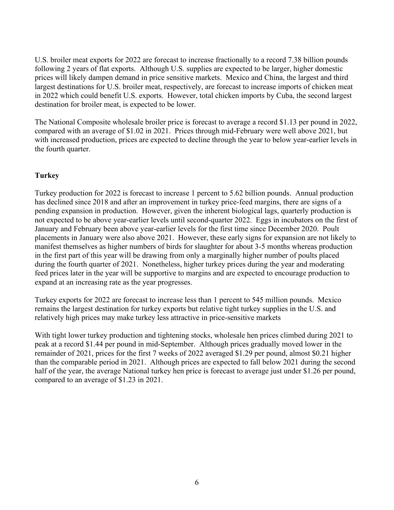U.S. broiler meat exports for 2022 are forecast to increase fractionally to a record 7.38 billion pounds following 2 years of flat exports. Although U.S. supplies are expected to be larger, higher domestic prices will likely dampen demand in price sensitive markets. Mexico and China, the largest and third largest destinations for U.S. broiler meat, respectively, are forecast to increase imports of chicken meat in 2022 which could benefit U.S. exports. However, total chicken imports by Cuba, the second largest destination for broiler meat, is expected to be lower.

The National Composite wholesale broiler price is forecast to average a record \$1.13 per pound in 2022, compared with an average of \$1.02 in 2021. Prices through mid-February were well above 2021, but with increased production, prices are expected to decline through the year to below year-earlier levels in the fourth quarter.

### **Turkey**

Turkey production for 2022 is forecast to increase 1 percent to 5.62 billion pounds. Annual production has declined since 2018 and after an improvement in turkey price-feed margins, there are signs of a pending expansion in production. However, given the inherent biological lags, quarterly production is not expected to be above year-earlier levels until second-quarter 2022. Eggs in incubators on the first of January and February been above year-earlier levels for the first time since December 2020. Poult placements in January were also above 2021. However, these early signs for expansion are not likely to manifest themselves as higher numbers of birds for slaughter for about 3-5 months whereas production in the first part of this year will be drawing from only a marginally higher number of poults placed during the fourth quarter of 2021. Nonetheless, higher turkey prices during the year and moderating feed prices later in the year will be supportive to margins and are expected to encourage production to expand at an increasing rate as the year progresses.

Turkey exports for 2022 are forecast to increase less than 1 percent to 545 million pounds. Mexico remains the largest destination for turkey exports but relative tight turkey supplies in the U.S. and relatively high prices may make turkey less attractive in price-sensitive markets

With tight lower turkey production and tightening stocks, wholesale hen prices climbed during 2021 to peak at a record \$1.44 per pound in mid-September. Although prices gradually moved lower in the remainder of 2021, prices for the first 7 weeks of 2022 averaged \$1.29 per pound, almost \$0.21 higher than the comparable period in 2021. Although prices are expected to fall below 2021 during the second half of the year, the average National turkey hen price is forecast to average just under \$1.26 per pound, compared to an average of \$1.23 in 2021.